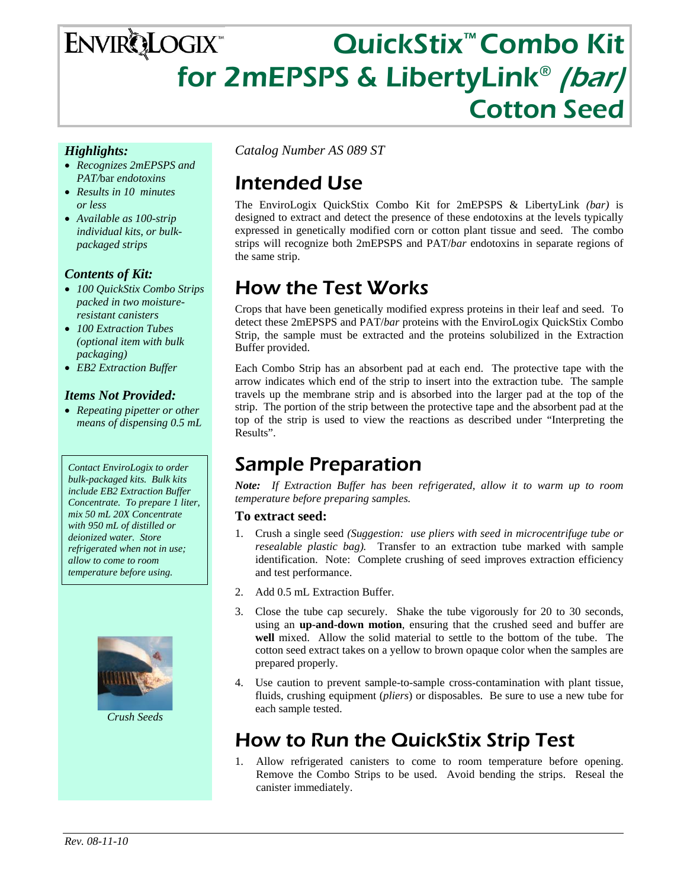# QuickStix™ Combo Kit **ENVIRQLOGIX** for 2mEPSPS & LibertyLink<sup>®</sup> (bar) Cotton Seed

#### *Highlights:*

- *Recognizes 2mEPSPS and PAT/*bar *endotoxins*
- *Results in 10 minutes or less*
- *Available as 100-strip individual kits, or bulkpackaged strips*

#### *Contents of Kit:*

- *100 QuickStix Combo Strips packed in two moistureresistant canisters*
- *100 Extraction Tubes (optional item with bulk packaging)*
- *EB2 Extraction Buffer*

#### *Items Not Provided:*

• *Repeating pipetter or other means of dispensing 0.5 mL* 

*Contact EnviroLogix to order bulk-packaged kits. Bulk kits include EB2 Extraction Buffer Concentrate. To prepare 1 liter, mix 50 mL 20X Concentrate with 950 mL of distilled or deionized water. Store refrigerated when not in use; allow to come to room temperature before using.* 



*Crush Seeds* 

*Catalog Number AS 089 ST* 

# Intended Use

The EnviroLogix QuickStix Combo Kit for 2mEPSPS & LibertyLink *(bar)* is designed to extract and detect the presence of these endotoxins at the levels typically expressed in genetically modified corn or cotton plant tissue and seed. The combo strips will recognize both 2mEPSPS and PAT/*bar* endotoxins in separate regions of the same strip.

## How the Test Works

Crops that have been genetically modified express proteins in their leaf and seed. To detect these 2mEPSPS and PAT/*bar* proteins with the EnviroLogix QuickStix Combo Strip, the sample must be extracted and the proteins solubilized in the Extraction Buffer provided.

Each Combo Strip has an absorbent pad at each end. The protective tape with the arrow indicates which end of the strip to insert into the extraction tube. The sample travels up the membrane strip and is absorbed into the larger pad at the top of the strip. The portion of the strip between the protective tape and the absorbent pad at the top of the strip is used to view the reactions as described under "Interpreting the Results".

### Sample Preparation

*Note: If Extraction Buffer has been refrigerated, allow it to warm up to room temperature before preparing samples.* 

#### **To extract seed:**

- 1. Crush a single seed *(Suggestion: use pliers with seed in microcentrifuge tube or resealable plastic bag).* Transfer to an extraction tube marked with sample identification. Note: Complete crushing of seed improves extraction efficiency and test performance.
- 2. Add 0.5 mL Extraction Buffer.
- 3. Close the tube cap securely. Shake the tube vigorously for 20 to 30 seconds, using an **up-and-down motion**, ensuring that the crushed seed and buffer are **well** mixed. Allow the solid material to settle to the bottom of the tube. The cotton seed extract takes on a yellow to brown opaque color when the samples are prepared properly.
- 4. Use caution to prevent sample-to-sample cross-contamination with plant tissue, fluids, crushing equipment (*pliers*) or disposables. Be sure to use a new tube for each sample tested.

### How to Run the QuickStix Strip Test

1. Allow refrigerated canisters to come to room temperature before opening. Remove the Combo Strips to be used. Avoid bending the strips. Reseal the canister immediately.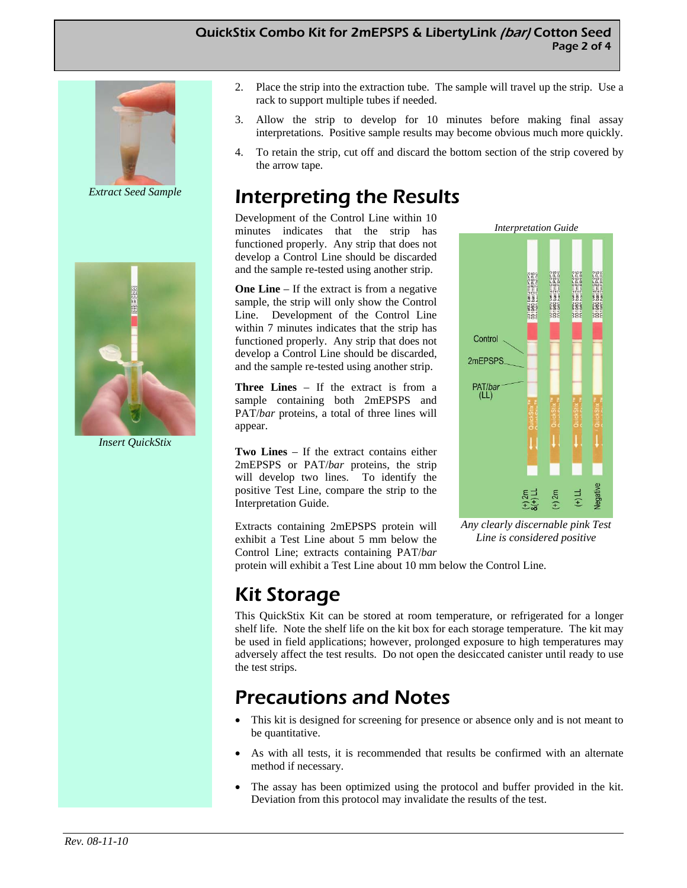#### QuickStix Combo Kit for 2mEPSPS & LibertyLink (bar) Cotton Seed Page 2 of 4



*Extract Seed Sample* 



*Insert QuickStix* 

- 2. Place the strip into the extraction tube. The sample will travel up the strip. Use a rack to support multiple tubes if needed.
- 3. Allow the strip to develop for 10 minutes before making final assay interpretations. Positive sample results may become obvious much more quickly.
- 4. To retain the strip, cut off and discard the bottom section of the strip covered by the arrow tape.

# Interpreting the Results

Development of the Control Line within 10 minutes indicates that the strip has functioned properly. Any strip that does not develop a Control Line should be discarded and the sample re-tested using another strip.

**One Line** – If the extract is from a negative sample, the strip will only show the Control Line. Development of the Control Line within 7 minutes indicates that the strip has functioned properly. Any strip that does not develop a Control Line should be discarded, and the sample re-tested using another strip.

**Three Lines** – If the extract is from a sample containing both 2mEPSPS and PAT/*bar* proteins, a total of three lines will appear.

**Two Lines** – If the extract contains either 2mEPSPS or PAT/*bar* proteins, the strip will develop two lines. To identify the positive Test Line, compare the strip to the Interpretation Guide.

Extracts containing 2mEPSPS protein will exhibit a Test Line about 5 mm below the Control Line; extracts containing PAT/*bar*



*Any clearly discernable pink Test Line is considered positive* 

protein will exhibit a Test Line about 10 mm below the Control Line.

## Kit Storage

This QuickStix Kit can be stored at room temperature, or refrigerated for a longer shelf life. Note the shelf life on the kit box for each storage temperature. The kit may be used in field applications; however, prolonged exposure to high temperatures may adversely affect the test results. Do not open the desiccated canister until ready to use the test strips.

## Precautions and Notes

- This kit is designed for screening for presence or absence only and is not meant to be quantitative.
- As with all tests, it is recommended that results be confirmed with an alternate method if necessary.
- The assay has been optimized using the protocol and buffer provided in the kit. Deviation from this protocol may invalidate the results of the test.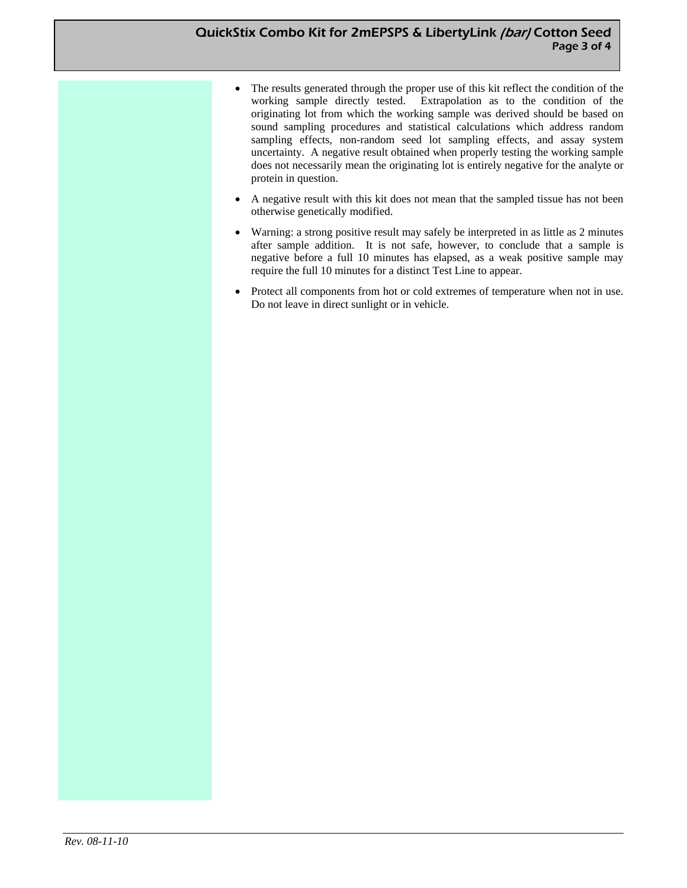#### QuickStix Combo Kit for 2mEPSPS & LibertyLink (bar) Cotton Seed Page 3 of 4

- The results generated through the proper use of this kit reflect the condition of the working sample directly tested. Extrapolation as to the condition of the originating lot from which the working sample was derived should be based on sound sampling procedures and statistical calculations which address random sampling effects, non-random seed lot sampling effects, and assay system uncertainty. A negative result obtained when properly testing the working sample does not necessarily mean the originating lot is entirely negative for the analyte or protein in question.
- A negative result with this kit does not mean that the sampled tissue has not been otherwise genetically modified.
- Warning: a strong positive result may safely be interpreted in as little as 2 minutes after sample addition. It is not safe, however, to conclude that a sample is negative before a full 10 minutes has elapsed, as a weak positive sample may require the full 10 minutes for a distinct Test Line to appear.
- Protect all components from hot or cold extremes of temperature when not in use. Do not leave in direct sunlight or in vehicle.